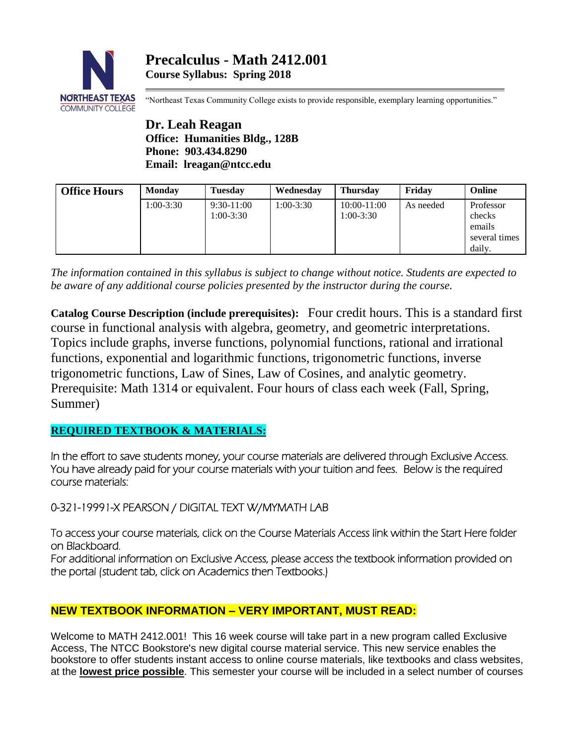

"Northeast Texas Community College exists to provide responsible, exemplary learning opportunities."

**Dr. Leah Reagan Office: Humanities Bldg., 128B Phone: 903.434.8290 Email: lreagan@ntcc.edu**

| <b>Office Hours</b> | <b>Monday</b> | <b>Tuesday</b>              | Wednesday   | <b>Thursday</b>              | Fridav    | <b>Online</b>                                            |
|---------------------|---------------|-----------------------------|-------------|------------------------------|-----------|----------------------------------------------------------|
|                     | 1:00-3:30     | $9:30-11:00$<br>$1:00-3:30$ | $1:00-3:30$ | $10:00-11:00$<br>$1:00-3:30$ | As needed | Professor<br>checks<br>emails<br>several times<br>daily. |

*The information contained in this syllabus is subject to change without notice. Students are expected to be aware of any additional course policies presented by the instructor during the course.*

**Catalog Course Description (include prerequisites):** Four credit hours. This is a standard first course in functional analysis with algebra, geometry, and geometric interpretations. Topics include graphs, inverse functions, polynomial functions, rational and irrational functions, exponential and logarithmic functions, trigonometric functions, inverse trigonometric functions, Law of Sines, Law of Cosines, and analytic geometry. Prerequisite: Math 1314 or equivalent. Four hours of class each week (Fall, Spring, Summer)

# **REQUIRED TEXTBOOK & MATERIALS:**

In the effort to save students money, your course materials are delivered through Exclusive Access. You have already paid for your course materials with your tuition and fees. Below is the required course materials:

0-321-19991-X PEARSON / DIGITAL TEXT W/MYMATH LAB

To access your course materials, click on the Course Materials Access link within the Start Here folder on Blackboard.

For additional information on Exclusive Access, please access the textbook information provided on the portal (student tab, click on Academics then Textbooks.)

# **NEW TEXTBOOK INFORMATION – VERY IMPORTANT, MUST READ:**

Welcome to MATH 2412.001! This 16 week course will take part in a new program called Exclusive Access, The NTCC Bookstore's new digital course material service. This new service enables the bookstore to offer students instant access to online course materials, like textbooks and class websites, at the **lowest price possible**. This semester your course will be included in a select number of courses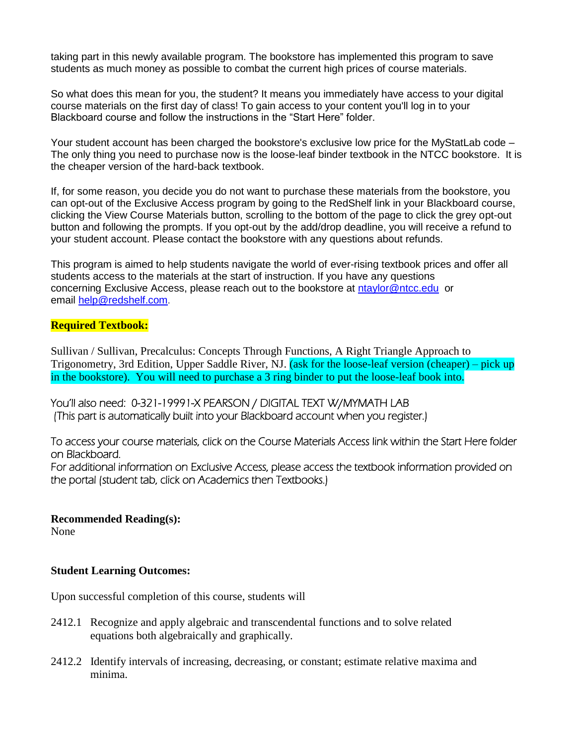taking part in this newly available program. The bookstore has implemented this program to save students as much money as possible to combat the current high prices of course materials.

So what does this mean for you, the student? It means you immediately have access to your digital course materials on the first day of class! To gain access to your content you'll log in to your Blackboard course and follow the instructions in the "Start Here" folder.

Your student account has been charged the bookstore's exclusive low price for the MyStatLab code – The only thing you need to purchase now is the loose-leaf binder textbook in the NTCC bookstore. It is the cheaper version of the hard-back textbook.

If, for some reason, you decide you do not want to purchase these materials from the bookstore, you can opt-out of the Exclusive Access program by going to the RedShelf link in your Blackboard course, clicking the View Course Materials button, scrolling to the bottom of the page to click the grey opt-out button and following the prompts. If you opt-out by the add/drop deadline, you will receive a refund to your student account. Please contact the bookstore with any questions about refunds.

This program is aimed to help students navigate the world of ever-rising textbook prices and offer all students access to the materials at the start of instruction. If you have any questions concerning Exclusive Access, please reach out to the bookstore at [ntaylor@ntcc.edu](mailto:ntaylor@ntcc.edu) or email [help@redshelf.com](mailto:help@redshelf.com).

#### **Required Textbook:**

Sullivan / Sullivan, Precalculus: Concepts Through Functions, A Right Triangle Approach to Trigonometry, 3rd Edition, Upper Saddle River, NJ. (ask for the loose-leaf version (cheaper) – pick up in the bookstore). You will need to purchase a 3 ring binder to put the loose-leaf book into.

You'll also need: 0-321-19991-X PEARSON / DIGITAL TEXT W/MYMATH LAB (This part is automatically built into your Blackboard account when you register.)

To access your course materials, click on the Course Materials Access link within the Start Here folder on Blackboard. For additional information on Exclusive Access, please access the textbook information provided on the portal (student tab, click on Academics then Textbooks.)

**Recommended Reading(s):**

None

#### **Student Learning Outcomes:**

Upon successful completion of this course, students will

- 2412.1 Recognize and apply algebraic and transcendental functions and to solve related equations both algebraically and graphically.
- 2412.2 Identify intervals of increasing, decreasing, or constant; estimate relative maxima and minima.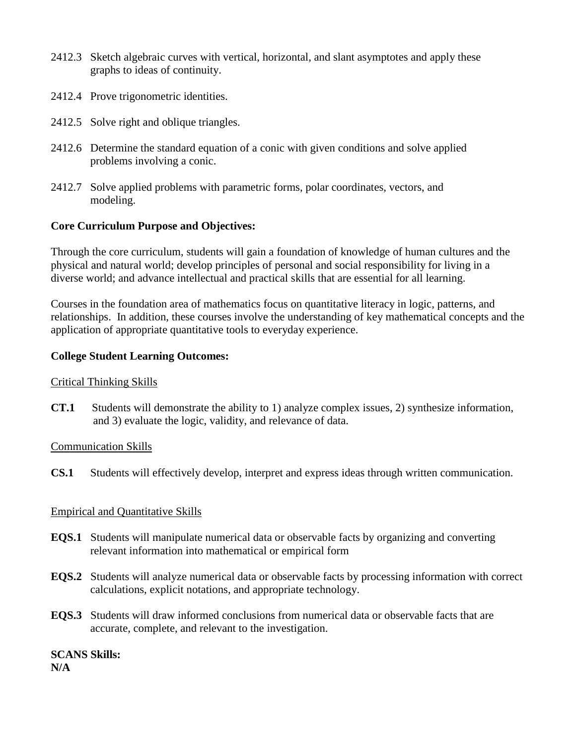- 2412.3 Sketch algebraic curves with vertical, horizontal, and slant asymptotes and apply these graphs to ideas of continuity.
- 2412.4 Prove trigonometric identities.
- 2412.5 Solve right and oblique triangles.
- 2412.6 Determine the standard equation of a conic with given conditions and solve applied problems involving a conic.
- 2412.7 Solve applied problems with parametric forms, polar coordinates, vectors, and modeling.

## **Core Curriculum Purpose and Objectives:**

Through the core curriculum, students will gain a foundation of knowledge of human cultures and the physical and natural world; develop principles of personal and social responsibility for living in a diverse world; and advance intellectual and practical skills that are essential for all learning.

Courses in the foundation area of mathematics focus on quantitative literacy in logic, patterns, and relationships. In addition, these courses involve the understanding of key mathematical concepts and the application of appropriate quantitative tools to everyday experience.

## **College Student Learning Outcomes:**

#### Critical Thinking Skills

**CT.1** Students will demonstrate the ability to 1) analyze complex issues, 2) synthesize information, and 3) evaluate the logic, validity, and relevance of data.

#### Communication Skills

**CS.1** Students will effectively develop, interpret and express ideas through written communication.

# Empirical and Quantitative Skills

- **EQS.1** Students will manipulate numerical data or observable facts by organizing and converting relevant information into mathematical or empirical form
- **EQS.2** Students will analyze numerical data or observable facts by processing information with correct calculations, explicit notations, and appropriate technology.
- **EQS.3** Students will draw informed conclusions from numerical data or observable facts that are accurate, complete, and relevant to the investigation.

# **SCANS Skills:**

**N/A**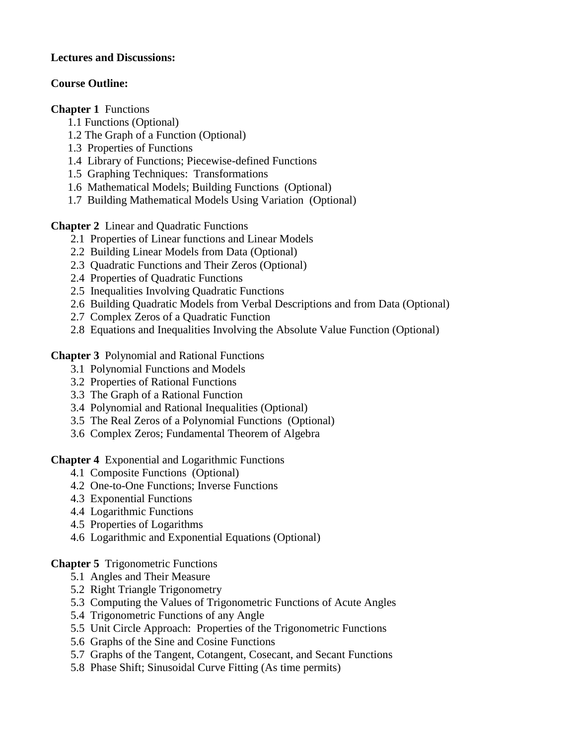## **Lectures and Discussions:**

## **Course Outline:**

**Chapter 1** Functions

- 1.1 Functions (Optional)
- 1.2 The Graph of a Function (Optional)
- 1.3 Properties of Functions
- 1.4 Library of Functions; Piecewise-defined Functions
- 1.5 Graphing Techniques: Transformations
- 1.6 Mathematical Models; Building Functions (Optional)
- 1.7 Building Mathematical Models Using Variation (Optional)

**Chapter 2** Linear and Quadratic Functions

- 2.1 Properties of Linear functions and Linear Models
- 2.2 Building Linear Models from Data (Optional)
- 2.3 Quadratic Functions and Their Zeros (Optional)
- 2.4 Properties of Quadratic Functions
- 2.5 Inequalities Involving Quadratic Functions
- 2.6 Building Quadratic Models from Verbal Descriptions and from Data (Optional)
- 2.7 Complex Zeros of a Quadratic Function
- 2.8 Equations and Inequalities Involving the Absolute Value Function (Optional)

**Chapter 3** Polynomial and Rational Functions

- 3.1 Polynomial Functions and Models
- 3.2 Properties of Rational Functions
- 3.3 The Graph of a Rational Function
- 3.4 Polynomial and Rational Inequalities (Optional)
- 3.5 The Real Zeros of a Polynomial Functions (Optional)
- 3.6 Complex Zeros; Fundamental Theorem of Algebra

**Chapter 4** Exponential and Logarithmic Functions

- 4.1 Composite Functions (Optional)
- 4.2 One-to-One Functions; Inverse Functions
- 4.3 Exponential Functions
- 4.4 Logarithmic Functions
- 4.5 Properties of Logarithms
- 4.6 Logarithmic and Exponential Equations (Optional)

# **Chapter 5** Trigonometric Functions

- 5.1 Angles and Their Measure
- 5.2 Right Triangle Trigonometry
- 5.3 Computing the Values of Trigonometric Functions of Acute Angles
- 5.4 Trigonometric Functions of any Angle
- 5.5 Unit Circle Approach: Properties of the Trigonometric Functions
- 5.6 Graphs of the Sine and Cosine Functions
- 5.7 Graphs of the Tangent, Cotangent, Cosecant, and Secant Functions
- 5.8 Phase Shift; Sinusoidal Curve Fitting (As time permits)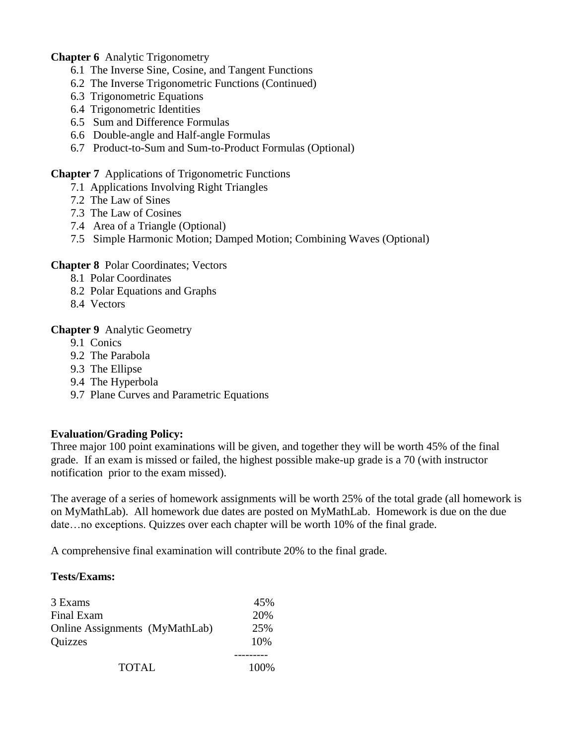**Chapter 6** Analytic Trigonometry

- 6.1 The Inverse Sine, Cosine, and Tangent Functions
- 6.2 The Inverse Trigonometric Functions (Continued)
- 6.3 Trigonometric Equations
- 6.4 Trigonometric Identities
- 6.5 Sum and Difference Formulas
- 6.6 Double-angle and Half-angle Formulas
- 6.7 Product-to-Sum and Sum-to-Product Formulas (Optional)

#### **Chapter 7** Applications of Trigonometric Functions

- 7.1 Applications Involving Right Triangles
- 7.2 The Law of Sines
- 7.3 The Law of Cosines
- 7.4 Area of a Triangle (Optional)
- 7.5 Simple Harmonic Motion; Damped Motion; Combining Waves (Optional)

#### **Chapter 8** Polar Coordinates; Vectors

- 8.1 Polar Coordinates
- 8.2 Polar Equations and Graphs
- 8.4 Vectors

## **Chapter 9** Analytic Geometry

- 9.1 Conics
- 9.2 The Parabola
- 9.3 The Ellipse
- 9.4 The Hyperbola
- 9.7 Plane Curves and Parametric Equations

# **Evaluation/Grading Policy:**

Three major 100 point examinations will be given, and together they will be worth 45% of the final grade. If an exam is missed or failed, the highest possible make-up grade is a 70 (with instructor notification prior to the exam missed).

The average of a series of homework assignments will be worth 25% of the total grade (all homework is on MyMathLab). All homework due dates are posted on MyMathLab. Homework is due on the due date…no exceptions. Quizzes over each chapter will be worth 10% of the final grade.

A comprehensive final examination will contribute 20% to the final grade.

#### **Tests/Exams:**

| 3 Exams                        | 45%   |
|--------------------------------|-------|
| Final Exam                     | 20%   |
| Online Assignments (MyMathLab) | 25%   |
| <b>Quizzes</b>                 | 10%   |
| <b>TOTAL</b>                   | 100\% |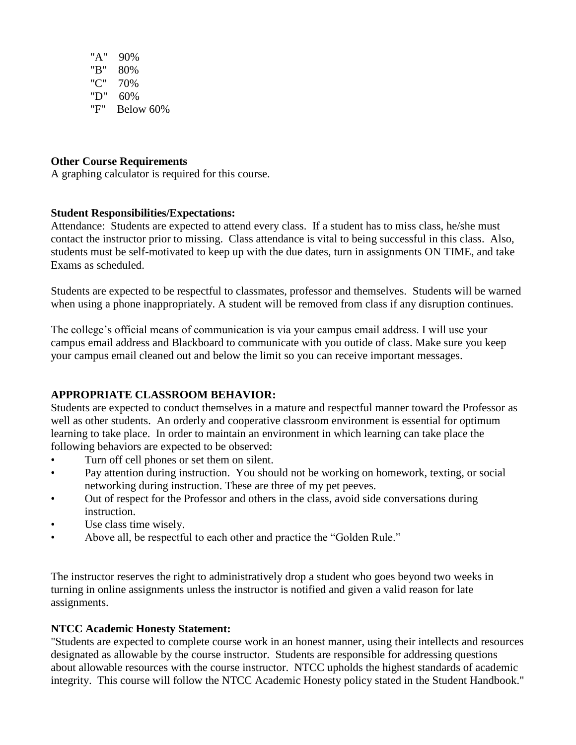"A" 90% "B" 80% "C" 70% "D" 60% "F" Below 60%

## **Other Course Requirements**

A graphing calculator is required for this course.

## **Student Responsibilities/Expectations:**

Attendance: Students are expected to attend every class. If a student has to miss class, he/she must contact the instructor prior to missing. Class attendance is vital to being successful in this class. Also, students must be self-motivated to keep up with the due dates, turn in assignments ON TIME, and take Exams as scheduled.

Students are expected to be respectful to classmates, professor and themselves. Students will be warned when using a phone inappropriately. A student will be removed from class if any disruption continues.

The college's official means of communication is via your campus email address. I will use your campus email address and Blackboard to communicate with you outide of class. Make sure you keep your campus email cleaned out and below the limit so you can receive important messages.

# **APPROPRIATE CLASSROOM BEHAVIOR:**

Students are expected to conduct themselves in a mature and respectful manner toward the Professor as well as other students. An orderly and cooperative classroom environment is essential for optimum learning to take place. In order to maintain an environment in which learning can take place the following behaviors are expected to be observed:

- Turn off cell phones or set them on silent.
- Pay attention during instruction. You should not be working on homework, texting, or social networking during instruction. These are three of my pet peeves.
- Out of respect for the Professor and others in the class, avoid side conversations during instruction.
- Use class time wisely.
- Above all, be respectful to each other and practice the "Golden Rule."

The instructor reserves the right to administratively drop a student who goes beyond two weeks in turning in online assignments unless the instructor is notified and given a valid reason for late assignments.

# **NTCC Academic Honesty Statement:**

"Students are expected to complete course work in an honest manner, using their intellects and resources designated as allowable by the course instructor. Students are responsible for addressing questions about allowable resources with the course instructor. NTCC upholds the highest standards of academic integrity. This course will follow the NTCC Academic Honesty policy stated in the Student Handbook."